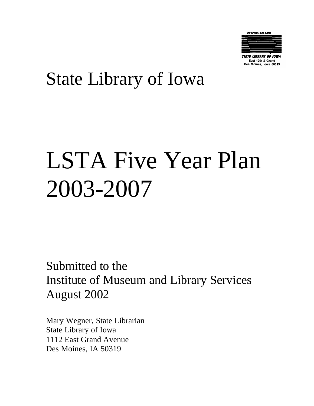

East 12th & Grand es Moines, Iowa 50319

## State Library of Iowa

# LSTA Five Year Plan 2003-2007

Submitted to the Institute of Museum and Library Services August 2002

Mary Wegner, State Librarian State Library of Iowa 1112 East Grand Avenue Des Moines, IA 50319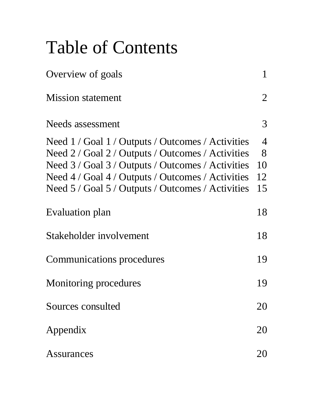## Table of Contents

| Overview of goals                                                                                                                                                                                                                                                     | $\mathbf{1}$                          |
|-----------------------------------------------------------------------------------------------------------------------------------------------------------------------------------------------------------------------------------------------------------------------|---------------------------------------|
| <b>Mission statement</b>                                                                                                                                                                                                                                              | $\overline{2}$                        |
| Needs assessment                                                                                                                                                                                                                                                      | 3                                     |
| Need 1 / Goal 1 / Outputs / Outcomes / Activities<br>Need 2 / Goal 2 / Outputs / Outcomes / Activities<br>Need 3 / Goal 3 / Outputs / Outcomes / Activities<br>Need 4 / Goal 4 / Outputs / Outcomes / Activities<br>Need 5 / Goal 5 / Outputs / Outcomes / Activities | $\overline{4}$<br>8<br>10<br>12<br>15 |
| Evaluation plan                                                                                                                                                                                                                                                       | 18                                    |
| Stakeholder involvement                                                                                                                                                                                                                                               | 18                                    |
| <b>Communications procedures</b>                                                                                                                                                                                                                                      | 19                                    |
| Monitoring procedures                                                                                                                                                                                                                                                 | 19                                    |
| Sources consulted                                                                                                                                                                                                                                                     | 20                                    |
| Appendix                                                                                                                                                                                                                                                              | 20                                    |
| Assurances                                                                                                                                                                                                                                                            | 20                                    |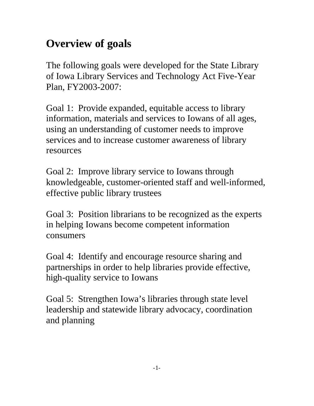## **Overview of goals**

The following goals were developed for the State Library of Iowa Library Services and Technology Act Five-Year Plan, FY2003-2007:

Goal 1: Provide expanded, equitable access to library information, materials and services to Iowans of all ages, using an understanding of customer needs to improve services and to increase customer awareness of library resources

Goal 2: Improve library service to Iowans through knowledgeable, customer-oriented staff and well-informed, effective public library trustees

Goal 3: Position librarians to be recognized as the experts in helping Iowans become competent information consumers

Goal 4: Identify and encourage resource sharing and partnerships in order to help libraries provide effective, high-quality service to Iowans

Goal 5: Strengthen Iowa's libraries through state level leadership and statewide library advocacy, coordination and planning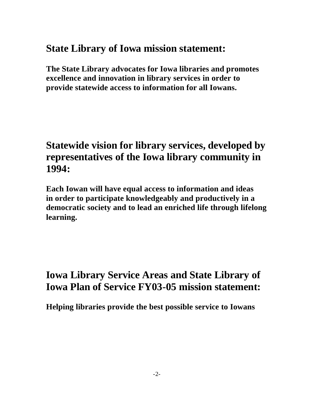### **State Library of Iowa mission statement:**

**The State Library advocates for Iowa libraries and promotes excellence and innovation in library services in order to provide statewide access to information for all Iowans.**

### **Statewide vision for library services, developed by representatives of the Iowa library community in 1994:**

**Each Iowan will have equal access to information and ideas in order to participate knowledgeably and productively in a democratic society and to lead an enriched life through lifelong learning.** 

## **Iowa Library Service Areas and State Library of Iowa Plan of Service FY03-05 mission statement:**

**Helping libraries provide the best possible service to Iowans**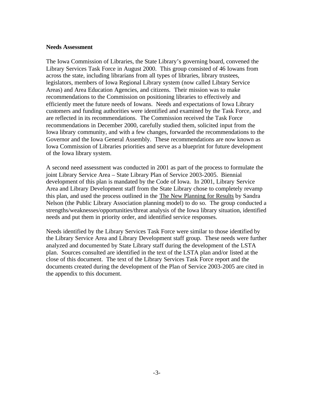#### **Needs Assessment**

The Iowa Commission of Libraries, the State Library's governing board, convened the Library Services Task Force in August 2000. This group consisted of 46 Iowans from across the state, including librarians from all types of libraries, library trustees, legislators, members of Iowa Regional Library system (now called Library Service Areas) and Area Education Agencies, and citizens. Their mission was to make recommendations to the Commission on positioning libraries to effectively and efficiently meet the future needs of Iowans. Needs and expectations of Iowa Library customers and funding authorities were identified and examined by the Task Force, and are reflected in its recommendations. The Commission received the Task Force recommendations in December 2000, carefully studied them, solicited input from the Iowa library community, and with a few changes, forwarded the recommendations to the Governor and the Iowa General Assembly. These recommendations are now known as Iowa Commission of Libraries priorities and serve as a blueprint for future development of the Iowa library system.

A second need assessment was conducted in 2001 as part of the process to formulate the joint Library Service Area – State Library Plan of Service 2003-2005. Biennial development of this plan is mandated by the Code of Iowa. In 2001, Library Service Area and Library Development staff from the State Library chose to completely revamp this plan, and used the process outlined in the The New Planning for Results by Sandra Nelson (the Public Library Association planning model) to do so. The group conducted a strengths/weaknesses/opportunities/threat analysis of the Iowa library situation, identified needs and put them in priority order, and identified service responses.

Needs identified by the Library Services Task Force were similar to those identified by the Library Service Area and Library Development staff group. These needs were further analyzed and documented by State Library staff during the development of the LSTA plan. Sources consulted are identified in the text of the LSTA plan and/or listed at the close of this document. The text of the Library Services Task Force report and the documents created during the development of the Plan of Service 2003-2005 are cited in the appendix to this document.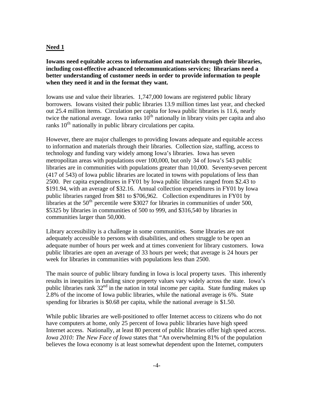#### **Need 1**

**Iowans need equitable access to information and materials through their libraries, including cost-effective advanced telecommunications services; librarians need a better understanding of customer needs in order to provide information to people when they need it and in the format they want.**

Iowans use and value their libraries. 1,747,000 Iowans are registered public library borrowers. Iowans visited their public libraries 13.9 million times last year, and checked out 25.4 million items. Circulation per capita for Iowa public libraries is 11.6, nearly twice the national average. Iowa ranks  $10<sup>th</sup>$  nationally in library visits per capita and also ranks  $10<sup>th</sup>$  nationally in public library circulations per capita.

However, there are major challenges to providing Iowans adequate and equitable access to information and materials through their libraries. Collection size, staffing, access to technology and funding vary widely among Iowa's libraries. Iowa has seven metropolitan areas with populations over 100,000, but only 34 of Iowa's 543 public libraries are in communities with populations greater than 10,000. Seventy-seven percent (417 of 543) of Iowa public libraries are located in towns with populations of less than 2500. Per capita expenditures in FY01 by Iowa public libraries ranged from \$2.43 to \$191.94, with an average of \$32.16. Annual collection expenditures in FY01 by Iowa public libraries ranged from \$81 to \$706,962. Collection expenditures in FY01 by libraries at the  $50<sup>th</sup>$  percentile were \$3027 for libraries in communities of under 500, \$5325 by libraries in communities of 500 to 999, and \$316,540 by libraries in communities larger than 50,000.

Library accessibility is a challenge in some communities. Some libraries are not adequately accessible to persons with disabilities, and others struggle to be open an adequate number of hours per week and at times convenient for library customers. Iowa public libraries are open an average of 33 hours per week; that average is 24 hours per week for libraries in communities with populations less than 2500.

The main source of public library funding in Iowa is local property taxes. This inherently results in inequities in funding since property values vary widely across the state. Iowa's public libraries rank  $32<sup>nd</sup>$  in the nation in total income per capita. State funding makes up 2.8% of the income of Iowa public libraries, while the national average is 6%. State spending for libraries is \$0.68 per capita, while the national average is \$1.50.

While public libraries are well-positioned to offer Internet access to citizens who do not have computers at home, only 25 percent of Iowa public libraries have high speed Internet access. Nationally, at least 80 percent of public libraries offer high speed access. *Iowa 2010: The New Face of Iowa* states that "An overwhelming 81% of the population believes the Iowa economy is at least somewhat dependent upon the Internet, computers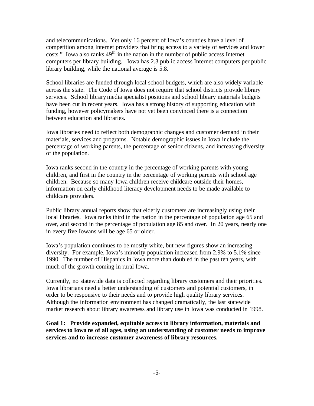and telecommunications. Yet only 16 percent of Iowa's counties have a level of competition among Internet providers that bring access to a variety of services and lower costs." Iowa also ranks  $49<sup>th</sup>$  in the nation in the number of public access Internet computers per library building. Iowa has 2.3 public access Internet computers per public library building, while the national average is 5.8.

School libraries are funded through local school budgets, which are also widely variable across the state. The Code of Iowa does not require that school districts provide library services. School library media specialist positions and school library materials budgets have been cut in recent years. Iowa has a strong history of supporting education with funding, however policymakers have not yet been convinced there is a connection between education and libraries.

Iowa libraries need to reflect both demographic changes and customer demand in their materials, services and programs. Notable demographic issues in Iowa include the percentage of working parents, the percentage of senior citizens, and increasing diversity of the population.

Iowa ranks second in the country in the percentage of working parents with young children, and first in the country in the percentage of working parents with school age children. Because so many Iowa children receive childcare outside their homes, information on early childhood literacy development needs to be made available to childcare providers.

Public library annual reports show that elderly customers are increasingly using their local libraries. Iowa ranks third in the nation in the percentage of population age 65 and over, and second in the percentage of population age 85 and over. In 20 years, nearly one in every five Iowans will be age 65 or older.

Iowa's population continues to be mostly white, but new figures show an increasing diversity. For example, Iowa's minority population increased from 2.9% to 5.1% since 1990. The number of Hispanics in Iowa more than doubled in the past ten years, with much of the growth coming in rural Iowa.

Currently, no statewide data is collected regarding library customers and their priorities. Iowa librarians need a better understanding of customers and potential customers, in order to be responsive to their needs and to provide high quality library services. Although the information environment has changed dramatically, the last statewide market research about library awareness and library use in Iowa was conducted in 1998.

**Goal 1: Provide expanded, equitable access to library information, materials and services to Iowa ns of all ages, using an understanding of customer needs to improve services and to increase customer awareness of library resources.**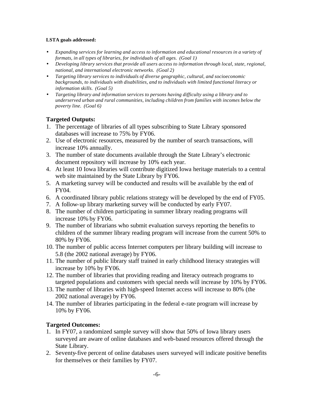#### **LSTA goals addressed:**

- *Expanding services for learning and access to information and educational resources in a variety of formats, in all types of libraries, for individuals of all ages. (Goal 1)*
- *Developing library services that provide all users access to information through local, state, regional, national, and international electronic networks. (Goal 2)*
- *Targeting library services to individuals of diverse geographic, cultural, and socioeconomic backgrounds, to individuals with disabilities, and to individuals with limited functional literacy or information skills. (Goal 5)*
- *Targeting library and information services to persons having difficulty using a library and to underserved urban and rural communities, including children from families with incomes below the poverty line. (Goal 6)*

#### **Targeted Outputs:**

- 1. The percentage of libraries of all types subscribing to State Library sponsored databases will increase to 75% by FY06.
- 2. Use of electronic resources, measured by the number of search transactions, will increase 10% annually.
- 3. The number of state documents available through the State Library's electronic document repository will increase by 10% each year.
- 4. At least 10 Iowa libraries will contribute digitized Iowa heritage materials to a central web site maintained by the State Library by FY06.
- 5. A marketing survey will be conducted and results will be available by the end of FY04.
- 6. A coordinated library public relations strategy will be developed by the end of FY05.
- 7. A follow-up library marketing survey will be conducted by early FY07.
- 8. The number of children participating in summer library reading programs will increase 10% by FY06.
- 9. The number of librarians who submit evaluation surveys reporting the benefits to children of the summer library reading program will increase from the current 50% to 80% by FY06.
- 10. The number of public access Internet computers per library building will increase to 5.8 (the 2002 national average) by FY06.
- 11. The number of public library staff trained in early childhood literacy strategies will increase by 10% by FY06.
- 12. The number of libraries that providing reading and literacy outreach programs to targeted populations and customers with special needs will increase by 10% by FY06.
- 13. The number of libraries with high-speed Internet access will increase to 80% (the 2002 national average) by FY06.
- 14. The number of libraries participating in the federal e-rate program will increase by 10% by FY06.

#### **Targeted Outcomes:**

- 1. In FY07, a randomized sample survey will show that 50% of Iowa library users surveyed are aware of online databases and web-based resources offered through the State Library.
- 2. Seventy-five percent of online databases users surveyed will indicate positive benefits for themselves or their families by FY07.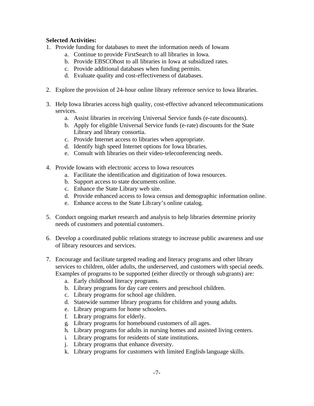#### **Selected Activities:**

- 1. Provide funding for databases to meet the information needs of Iowans
	- a. Continue to provide FirstSearch to all libraries in Iowa.
	- b. Provide EBSCOhost to all libraries in Iowa at subsidized rates.
	- c. Provide additional databases when funding permits.
	- d. Evaluate quality and cost-effectiveness of databases.
- 2. Explore the provision of 24-hour online library reference service to Iowa libraries.
- 3. Help Iowa libraries access high quality, cost-effective advanced telecommunications services.
	- a. Assist libraries in receiving Universal Service funds (e-rate discounts).
	- b. Apply for eligible Universal Service funds (e-rate) discounts for the State Library and library consortia.
	- c. Provide Internet access to libraries when appropriate.
	- d. Identify high speed Internet options for Iowa libraries.
	- e. Consult with libraries on their video-teleconferencing needs.
- 4. Provide Iowans with electronic access to Iowa resources
	- a. Facilitate the identification and digitization of Iowa resources.
	- b. Support access to state documents online.
	- c. Enhance the State Library web site.
	- d. Provide enhanced access to Iowa census and demographic information online.
	- e. Enhance access to the State Library's online catalog.
- 5. Conduct ongoing market research and analysis to help libraries determine priority needs of customers and potential customers.
- 6. Develop a coordinated public relations strategy to increase public awareness and use of library resources and services.
- 7. Encourage and facilitate targeted reading and literacy programs and other library services to children, older adults, the underserved, and customers with special needs. Examples of programs to be supported (either directly or through subgrants) are:
	- a. Early childhood literacy programs.
	- b. Library programs for day care centers and preschool children.
	- c. Library programs for school age children.
	- d. Statewide summer library programs for children and young adults.
	- e. Library programs for home schoolers.
	- f. Library programs for elderly.
	- g. Library programs for homebound customers of all ages.
	- h. Library programs for adults in nursing homes and assisted living centers.
	- i. Library programs for residents of state institutions.
	- j. Library programs that enhance diversity.
	- k. Library programs for customers with limited English-language skills.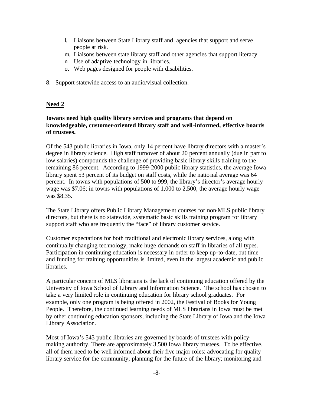- l. Liaisons between State Library staff and agencies that support and serve people at risk.
- m. Liaisons between state library staff and other agencies that support literacy.
- n. Use of adaptive technology in libraries.
- o. Web pages designed for people with disabilities.
- 8. Support statewide access to an audio/visual collection.

#### **Need 2**

#### **Iowans need high quality library services and programs that depend on knowledgeable, customer-oriented library staff and well-informed, effective boards of trustees.**

Of the 543 public libraries in Iowa, only 14 percent have library directors with a master's degree in library science. High staff turnover of about 20 percent annually (due in part to low salaries) compounds the challenge of providing basic library skills training to the remaining 86 percent. According to 1999-2000 public library statistics, the average Iowa library spent 53 percent of its budget on staff costs, while the national average was 64 percent. In towns with populations of 500 to 999, the library's director's average hourly wage was \$7.06; in towns with populations of 1,000 to 2,500, the average hourly wage was \$8.35.

The State Library offers Public Library Management courses for non-MLS public library directors, but there is no statewide, systematic basic skills training program for library support staff who are frequently the "face" of library customer service.

Customer expectations for both traditional and electronic library services, along with continually changing technology, make huge demands on staff in libraries of all types. Participation in continuing education is necessary in order to keep up-to-date, but time and funding for training opportunities is limited, even in the largest academic and public libraries.

A particular concern of MLS librarians is the lack of continuing education offered by the University of Iowa School of Library and Information Science. The school has chosen to take a very limited role in continuing education for library school graduates. For example, only one program is being offered in 2002, the Festival of Books for Young People. Therefore, the continued learning needs of MLS librarians in Iowa must be met by other continuing education sponsors, including the State Library of Iowa and the Iowa Library Association.

Most of Iowa's 543 public libraries are governed by boards of trustees with policymaking authority. There are approximately 3,500 Iowa library trustees. To be effective, all of them need to be well informed about their five major roles: advocating for quality library service for the community; planning for the future of the library; monitoring and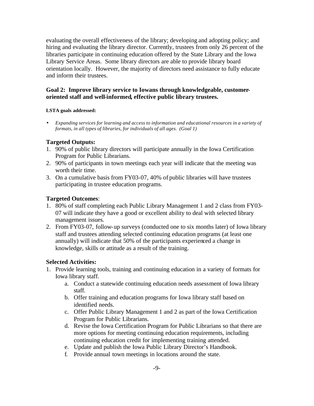evaluating the overall effectiveness of the library; developing and adopting policy; and hiring and evaluating the library director. Currently, trustees from only 26 percent of the libraries participate in continuing education offered by the State Library and the Iowa Library Service Areas. Some library directors are able to provide library board orientation locally. However, the majority of directors need assistance to fully educate and inform their trustees.

#### **Goal 2: Improve library service to Iowans through knowledgeable, customeroriented staff and well-informed, effective public library trustees.**

#### **LSTA goals addressed:**

• *Expanding services for learning and access to information and educational resources in a variety of formats, in all types of libraries, for individuals of all ages. (Goal 1)*

#### **Targeted Outputs:**

- 1. 90% of public library directors will participate annually in the Iowa Certification Program for Public Librarians.
- 2. 90% of participants in town meetings each year will indicate that the meeting was worth their time.
- 3. On a cumulative basis from FY03-07, 40% of public libraries will have trustees participating in trustee education programs.

#### **Targeted Outcomes**:

- 1. 80% of staff completing each Public Library Management 1 and 2 class from FY03- 07 will indicate they have a good or excellent ability to deal with selected library management issues.
- 2. From FY03-07, follow-up surveys (conducted one to six months later) of Iowa library staff and trustees attending selected continuing education programs (at least one annually) will indicate that 50% of the participants experienced a change in knowledge, skills or attitude as a result of the training.

#### **Selected Activities:**

- 1. Provide learning tools, training and continuing education in a variety of formats for Iowa library staff.
	- a. Conduct a statewide continuing education needs assessment of Iowa library staff.
	- b. Offer training and education programs for Iowa library staff based on identified needs.
	- c. Offer Public Library Management 1 and 2 as part of the Iowa Certification Program for Public Librarians.
	- d. Revise the Iowa Certification Program for Public Librarians so that there are more options for meeting continuing education requirements, including continuing education credit for implementing training attended.
	- e. Update and publish the Iowa Public Library Director's Handbook.
	- f. Provide annual town meetings in locations around the state.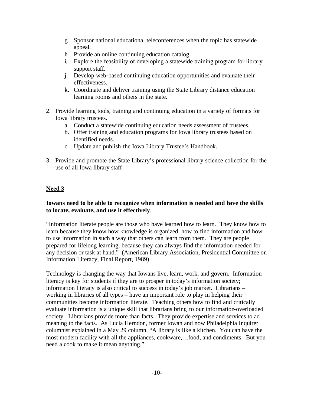- g. Sponsor national educational teleconferences when the topic has statewide appeal.
- h. Provide an online continuing education catalog.
- i. Explore the feasibility of developing a statewide training program for library support staff.
- j. Develop web-based continuing education opportunities and evaluate their effectiveness.
- k. Coordinate and deliver training using the State Library distance education learning rooms and others in the state.
- 2. Provide learning tools, training and continuing education in a variety of formats for Iowa library trustees.
	- a. Conduct a statewide continuing education needs assessment of trustees.
	- b. Offer training and education programs for Iowa library trustees based on identified needs.
	- c. Update and publish the Iowa Library Trustee's Handbook.
- 3. Provide and promote the State Library's professional library science collection for the use of all Iowa library staff

#### **Need 3**

#### **Iowans need to be able to recognize when information is needed and have the skills to locate, evaluate, and use it effectively**.

"Information literate people are those who have learned how to learn. They know how to learn because they know how knowledge is organized, how to find information and how to use information in such a way that others can learn from them. They are people prepared for lifelong learning, because they can always find the information needed for any decision or task at hand." (American Library Association, Presidential Committee on Information Literacy, Final Report, 1989)

Technology is changing the way that Iowans live, learn, work, and govern. Information literacy is key for students if they are to prosper in today's information society; information literacy is also critical to success in today's job market. Librarians – working in libraries of all types – have an important role to play in helping their communities become information literate. Teaching others how to find and critically evaluate information is a unique skill that librarians bring to our information-overloaded society. Librarians provide more than facts. They provide expertise and services to ad meaning to the facts. As Lucia Herndon, former Iowan and now Philadelphia Inquirer columnist explained in a May 29 column, "A library is like a kitchen. You can have the most modern facility with all the appliances, cookware,…food, and condiments. But you need a cook to make it mean anything."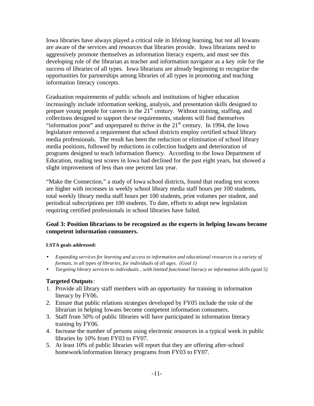Iowa libraries have always played a critical role in lifelong learning, but not all Iowans are aware of the services and resources that libraries provide. Iowa librarians need to aggressively promote themselves as information literacy experts, and must see this developing role of the librarian as teacher and information navigator as a key role for the success of libraries of all types. Iowa librarians are already beginning to recognize the opportunities for partnerships among libraries of all types in promoting and teaching information literacy concepts.

Graduation requirements of public schools and institutions of higher education increasingly include information seeking, analysis, and presentation skills designed to prepare young people for careers in the  $21<sup>st</sup>$  century. Without training, staffing, and collections designed to support the se requirements, students will find themselves "information poor" and unprepared to thrive in the  $21<sup>st</sup>$  century. In 1994, the Iowa legislature removed a requirement that school districts employ certified school library media professionals. The result has been the reduction or elimination of school library media positions, followed by reductions in collection budgets and deterioration of programs designed to teach information fluency. According to the Iowa Department of Education, reading test scores in Iowa had declined for the past eight years, but showed a slight improvement of less than one percent last year.

"Make the Connection," a study of Iowa school districts, found that reading test scores are higher with increases in weekly school library media staff hours per 100 students, total weekly library media staff hours per 100 students, print volumes per student, and periodical subscriptions per 100 students. To date, efforts to adopt new legislation requiring certified professionals in school libraries have failed.

#### **Goal 3: Position librarians to be recognized as the experts in helping Iowans become competent information consumers.**

#### **LSTA goals addressed:**

- *Expanding services for learning and access to information and educational resources in a variety of formats, in all types of libraries, for individuals of all ages. (Goal 1)*
- *Targeting library services to individuals…with limited functional literacy or information skills (goal 5)*

#### **Targeted Outputs**:

- 1. Provide all library staff members with an opportunity for training in information literacy by FY06.
- 2. Ensure that public relations strategies developed by FY05 include the role of the librarian in helping Iowans become competent information consumers.
- 3. Staff from 50% of public libraries will have participated in information literacy training by FY06.
- 4. Increase the number of persons using electronic resources in a typical week in public libraries by 10% from FY03 to FY07.
- 5. At least 10% of public libraries will report that they are offering after-school homework/information literacy programs from FY03 to FY07.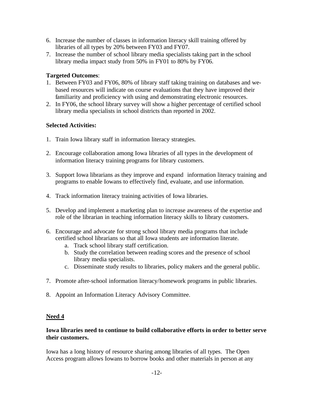- 6. Increase the number of classes in information literacy skill training offered by libraries of all types by 20% between FY03 and FY07.
- 7. Increase the number of school library media specialists taking part in the school library media impact study from 50% in FY01 to 80% by FY06.

#### **Targeted Outcomes**:

- 1. Between FY03 and FY06, 80% of library staff taking training on databases and webased resources will indicate on course evaluations that they have improved their familiarity and proficiency with using and demonstrating electronic resources.
- 2. In FY06, the school library survey will show a higher percentage of certified school library media specialists in school districts than reported in 2002.

#### **Selected Activities:**

- 1. Train Iowa library staff in information literacy strategies.
- 2. Encourage collaboration among Iowa libraries of all types in the development of information literacy training programs for library customers.
- 3. Support Iowa librarians as they improve and expand information literacy training and programs to enable Iowans to effectively find, evaluate, and use information.
- 4. Track information literacy training activities of Iowa libraries.
- 5. Develop and implement a marketing plan to increase awareness of the expertise and role of the librarian in teaching information literacy skills to library customers.
- 6. Encourage and advocate for strong school library media programs that include certified school librarians so that all Iowa students are information literate.
	- a. Track school library staff certification.
	- b. Study the correlation between reading scores and the presence of school library media specialists.
	- c. Disseminate study results to libraries, policy makers and the general public.
- 7. Promote after-school information literacy/homework programs in public libraries.
- 8. Appoint an Information Literacy Advisory Committee.

#### **Need 4**

#### **Iowa libraries need to continue to build collaborative efforts in order to better serve their customers.**

Iowa has a long history of resource sharing among libraries of all types. The Open Access program allows Iowans to borrow books and other materials in person at any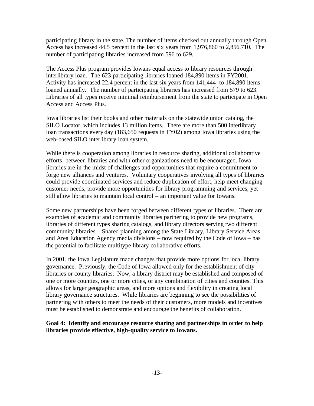participating library in the state. The number of items checked out annually through Open Access has increased 44.5 percent in the last six years from 1,976,860 to 2,856,710. The number of participating libraries increased from 596 to 629.

The Access Plus program provides Iowans equal access to library resources through interlibrary loan. The 623 participating libraries loaned 184,890 items in FY2001. Activity has increased 22.4 percent in the last six years from 141,444 to 184,890 items loaned annually. The number of participating libraries has increased from 579 to 623. Libraries of all types receive minimal reimbursement from the state to participate in Open Access and Access Plus.

Iowa libraries list their books and other materials on the statewide union catalog, the SILO Locator, which includes 13 million items. There are more than 500 interlibrary loan transactions every day (183,650 requests in FY02) among Iowa libraries using the web-based SILO interlibrary loan system.

While there is cooperation among libraries in resource sharing, additional collaborative efforts between libraries and with other organizations need to be encouraged. Iowa libraries are in the midst of challenges and opportunities that require a commitment to forge new alliances and ventures. Voluntary cooperatives involving all types of libraries could provide coordinated services and reduce duplication of effort, help meet changing customer needs, provide more opportunities for library programming and services, yet still allow libraries to maintain local control – an important value for Iowans.

Some new partnerships have been forged between different types of libraries. There are examples of academic and community libraries partnering to provide new programs, libraries of different types sharing catalogs, and library directors serving two different community libraries. Shared planning among the State Library, Library Service Areas and Area Education Agency media divisions – now required by the Code of Iowa – has the potential to facilitate multitype library collaborative efforts.

In 2001, the Iowa Legislature made changes that provide more options for local library governance. Previously, the Code of Iowa allowed only for the establishment of city libraries or county libraries. Now, a library district may be established and composed of one or more counties, one or more cities, or any combination of cities and counties. This allows for larger geographic areas, and more options and flexibility in creating local library governance structures. While libraries are beginning to see the possibilities of partnering with others to meet the needs of their customers, more models and incentives must be established to demonstrate and encourage the benefits of collaboration.

**Goal 4: Identify and encourage resource sharing and partnerships in order to help libraries provide effective, high-quality service to Iowans.**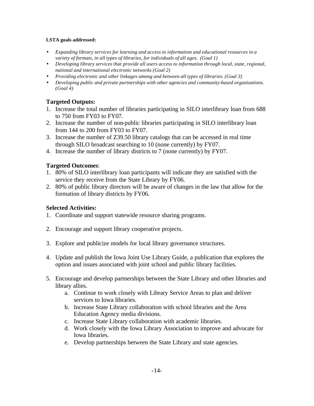#### **LSTA goals addressed:**

- *Expanding library services for learning and access to information and educational resources in a variety of formats, in all types of libraries, for individuals of all ages. (Goal 1)*
- *Developing library services that provide all users access to information through local, state, regional, national and international electronic networks (Goal 2)*
- *Providing electronic and other linkages among and between all types of libraries. (Goal 3)*
- *Developing public and private partnerships with other agencies and community-based organizations. (Goal 4)*

#### **Targeted Outputs:**

- 1. Increase the total number of libraries participating in SILO interlibrary loan from 688 to 750 from FY03 to FY07.
- 2. Increase the number of non-public libraries participating in SILO interlibrary loan from 144 to 200 from FY03 to FY07.
- 3. Increase the number of Z39.50 library catalogs that can be accessed in real time through SILO broadcast searching to 10 (none currently) by FY07.
- 4. Increase the number of library districts to 7 (none currently) by FY07.

#### **Targeted Outcomes**:

- 1. 80% of SILO interlibrary loan participants will indicate they are satisfied with the service they receive from the State Library by FY06.
- 2. 80% of public library directors will be aware of changes in the law that allow for the formation of library districts by FY06.

#### **Selected Activities:**

- 1. Coordinate and support statewide resource sharing programs.
- 2. Encourage and support library cooperative projects.
- 3. Explore and publicize models for local library governance structures.
- 4. Update and publish the Iowa Joint Use Library Guide, a publication that explores the option and issues associated with joint school and public library facilities.
- 5. Encourage and develop partnerships between the State Library and other libraries and library allies.
	- a. Continue to work closely with Library Service Areas to plan and deliver services to Iowa libraries.
	- b. Increase State Library collaboration with school libraries and the Area Education Agency media divisions.
	- c. Increase State Library collaboration with academic libraries.
	- d. Work closely with the Iowa Library Association to improve and advocate for Iowa libraries.
	- e. Develop partnerships between the State Library and state agencies.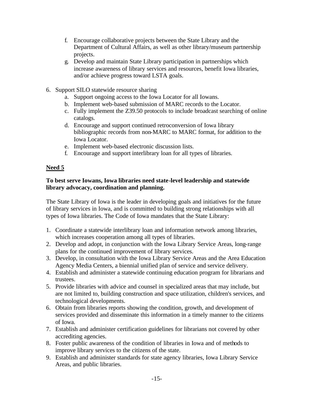- f. Encourage collaborative projects between the State Library and the Department of Cultural Affairs, as well as other library/museum partnership projects.
- g. Develop and maintain State Library participation in partnerships which increase awareness of library services and resources, benefit Iowa libraries, and/or achieve progress toward LSTA goals.
- 6. Support SILO statewide resource sharing
	- a. Support ongoing access to the Iowa Locator for all Iowans.
	- b. Implement web-based submission of MARC records to the Locator.
	- c. Fully implement the Z39.50 protocols to include broadcast searching of online catalogs.
	- d. Encourage and support continued retroconversion of Iowa library bibliographic records from non-MARC to MARC format, for addition to the Iowa Locator.
	- e. Implement web-based electronic discussion lists.
	- f. Encourage and support interlibrary loan for all types of libraries.

#### **Need 5**

#### **To best serve Iowans, Iowa libraries need state-level leadership and statewide library advocacy, coordination and planning.**

The State Library of Iowa is the leader in developing goals and initiatives for the future of library services in Iowa, and is committed to building strong relationships with all types of Iowa libraries. The Code of Iowa mandates that the State Library:

- 1. Coordinate a statewide interlibrary loan and information network among libraries, which increases cooperation among all types of libraries.
- 2. Develop and adopt, in conjunction with the Iowa Library Service Areas, long-range plans for the continued improvement of library services.
- 3. Develop, in consultation with the Iowa Library Service Areas and the Area Education Agency Media Centers, a biennial unified plan of service and service delivery.
- 4. Establish and administer a statewide continuing education program for librarians and trustees.
- 5. Provide libraries with advice and counsel in specialized areas that may include, but are not limited to, building construction and space utilization, children's services, and technological developments.
- 6. Obtain from libraries reports showing the condition, growth, and development of services provided and disseminate this information in a timely manner to the citizens of Iowa.
- 7. Establish and administer certification guidelines for librarians not covered by other accrediting agencies.
- 8. Foster public awareness of the condition of libraries in Iowa and of methods to improve library services to the citizens of the state.
- 9. Establish and administer standards for state agency libraries, Iowa Library Service Areas, and public libraries.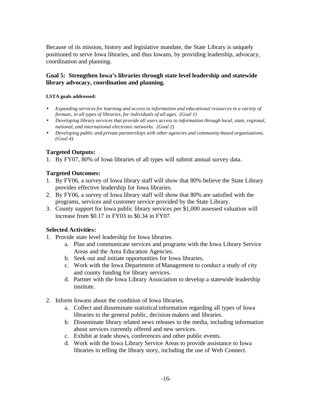Because of its mission, history and legislative mandate, the State Library is uniquely positioned to serve Iowa libraries, and thus Iowans, by providing leadership, advocacy, coordination and planning.

#### **Goal 5: Strengthen Iowa's libraries through state level leadership and statewide library advocacy, coordination and planning.**

#### **LSTA goals addressed:**

- *Expanding services for learning and access to information and educational resources in a variety of formats, in all types of libraries, for individuals of all ages*. *(Goal 1)*
- *Developing library services that provide all users access to information through local, state, regional, national, and international electronic networks. (Goal 2)*
- *Developing public and private partnerships with other agencies and community-based organizations. (Goal 4)*

#### **Targeted Outputs:**

1. By FY07, 80% of Iowa libraries of all types will submit annual survey data.

#### **Targeted Outcomes:**

- 1. By FY06, a survey of Iowa library staff will show that 80% believe the State Library provides effective leadership for Iowa libraries.
- 2. By FY06, a survey of Iowa library staff will show that 80% are satisfied with the programs, services and customer service provided by the State Library.
- 3. County support for Iowa public library services per \$1,000 assessed valuation will increase from \$0.17 in FY03 to \$0.34 in FY07.

#### **Selected Activities:**

- 1. Provide state level leadership for Iowa libraries.
	- a. Plan and communicate services and programs with the Iowa Library Service Areas and the Area Education Agencies.
	- b. Seek out and initiate opportunities for Iowa libraries.
	- c. Work with the Iowa Department of Management to conduct a study of city and county funding for library services.
	- d. Partner with the Iowa Library Association to develop a statewide leadership institute.
- 2. Inform Iowans about the condition of Iowa libraries.
	- a. Collect and disseminate statistical information regarding all types of Iowa libraries to the general public, decision-makers and libraries.
	- b. Disseminate library related news releases to the media, including information about services currently offered and new services.
	- c. Exhibit at trade shows, conferences and other public events.
	- d. Work with the Iowa Library Service Areas to provide assistance to Iowa libraries in telling the library story, including the use of Web Connect.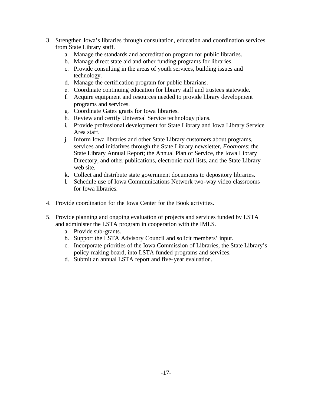- 3. Strengthen Iowa's libraries through consultation, education and coordination services from State Library staff.
	- a. Manage the standards and accreditation program for public libraries.
	- b. Manage direct state aid and other funding programs for libraries.
	- c. Provide consulting in the areas of youth services, building issues and technology.
	- d. Manage the certification program for public librarians.
	- e. Coordinate continuing education for library staff and trustees statewide.
	- f. Acquire equipment and resources needed to provide library development programs and services.
	- g. Coordinate Gates grants for Iowa libraries.
	- h. Review and certify Universal Service technology plans.
	- i. Provide professional development for State Library and Iowa Library Service Area staff.
	- j. Inform Iowa libraries and other State Library customers about programs, services and initiatives through the State Library newsletter, *Footnotes*; the State Library Annual Report; the Annual Plan of Service, the Iowa Library Directory, and other publications, electronic mail lists, and the State Library web site.
	- k. Collect and distribute state government documents to depository libraries.
	- l. Schedule use of Iowa Communications Network two-way video classrooms for Iowa libraries.
- 4. Provide coordination for the Iowa Center for the Book activities.
- 5. Provide planning and ongoing evaluation of projects and services funded by LSTA and administer the LSTA program in cooperation with the IMLS.
	- a. Provide sub-grants.
	- b. Support the LSTA Advisory Council and solicit members' input.
	- c. Incorporate priorities of the Iowa Commission of Libraries, the State Library's policy making board, into LSTA funded programs and services.
	- d. Submit an annual LSTA report and five-year evaluation.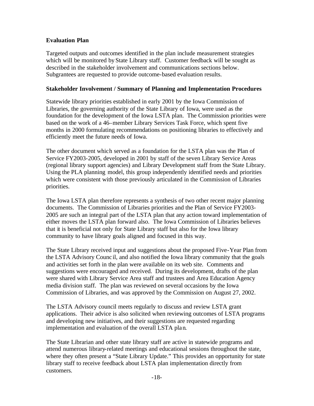#### **Evaluation Plan**

Targeted outputs and outcomes identified in the plan include measurement strategies which will be monitored by State Library staff. Customer feedback will be sought as described in the stakeholder involvement and communications sections below. Subgrantees are requested to provide outcome-based evaluation results.

#### **Stakeholder Involvement / Summary of Planning and Implementation Procedures**

Statewide library priorities established in early 2001 by the Iowa Commission of Libraries, the governing authority of the State Library of Iowa, were used as the foundation for the development of the Iowa LSTA plan. The Commission priorities were based on the work of a 46–member Library Services Task Force, which spent five months in 2000 formulating recommendations on positioning libraries to effectively and efficiently meet the future needs of Iowa.

The other document which served as a foundation for the LSTA plan was the Plan of Service FY2003-2005, developed in 2001 by staff of the seven Library Service Areas (regional library support agencies) and Library Development staff from the State Library. Using the PLA planning model, this group independently identified needs and priorities which were consistent with those previously articulated in the Commission of Libraries priorities.

The Iowa LSTA plan therefore represents a synthesis of two other recent major planning documents. The Commission of Libraries priorities and the Plan of Service FY2003- 2005 are such an integral part of the LSTA plan that any action toward implementation of either moves the LSTA plan forward also. The Iowa Commission of Libraries believes that it is beneficial not only for State Library staff but also for the Iowa library community to have library goals aligned and focused in this way.

The State Library received input and suggestions about the proposed Five-Year Plan from the LSTA Advisory Counc il, and also notified the Iowa library community that the goals and activities set forth in the plan were available on its web site. Comments and suggestions were encouraged and received. During its development, drafts of the plan were shared with Library Service Area staff and trustees and Area Education Agency media division staff. The plan was reviewed on several occasions by the Iowa Commission of Libraries, and was approved by the Commission on August 27, 2002.

The LSTA Advisory council meets regularly to discuss and review LSTA grant applications. Their advice is also solicited when reviewing outcomes of LSTA programs and developing new initiatives, and their suggestions are requested regarding implementation and evaluation of the overall LSTA plan.

The State Librarian and other state library staff are active in statewide programs and attend numerous library-related meetings and educational sessions throughout the state, where they often present a "State Library Update." This provides an opportunity for state library staff to receive feedback about LSTA plan implementation directly from customers.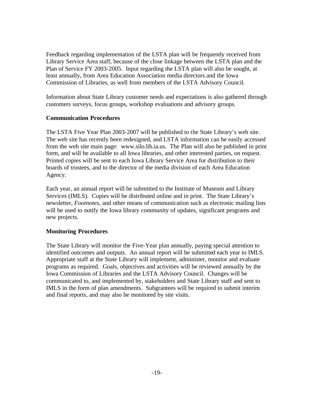Feedback regarding implementation of the LSTA plan will be frequently received from Library Service Area staff, because of the close linkage between the LSTA plan and the Plan of Service FY 2003-2005. Input regarding the LSTA plan will also be sought, at least annually, from Area Education Association media directors and the Iowa Commission of Libraries, as well from members of the LSTA Advisory Council.

Information about State Library customer needs and expectations is also gathered through customers surveys, focus groups, workshop evaluations and advisory groups.

#### **Communication Procedures**

The LSTA Five Year Plan 2003-2007 will be published to the State Library's web site. The web site has recently been redesigned, and LSTA information can be easily accessed from the web site main page: www.silo.lib.ia.us. The Plan will also be published in print form, and will be available to all Iowa libraries, and other interested parties, on request. Printed copies will be sent to each Iowa Library Service Area for distribution to their boards of trustees, and to the director of the media division of each Area Education Agency.

Each year, an annual report will be submitted to the Institute of Museum and Library Services (IMLS). Copies will be distributed online and in print. The State Library's newsletter, *Footnotes*, and other means of communication such as electronic mailing lists will be used to notify the Iowa library community of updates, significant programs and new projects.

#### **Monitoring Procedures**

The State Library will monitor the Five-Year plan annually, paying special attention to identified outcomes and outputs. An annual report will be submitted each year to IMLS. Appropriate staff at the State Library will implement, administer, monitor and evaluate programs as required. Goals, objectives and activities will be reviewed annually by the Iowa Commission of Libraries and the LSTA Advisory Council. Changes will be communicated to, and implemented by, stakeholders and State Library staff and sent to IMLS in the form of plan amendments. Subgrantees will be required to submit interim and final reports, and may also be monitored by site visits.